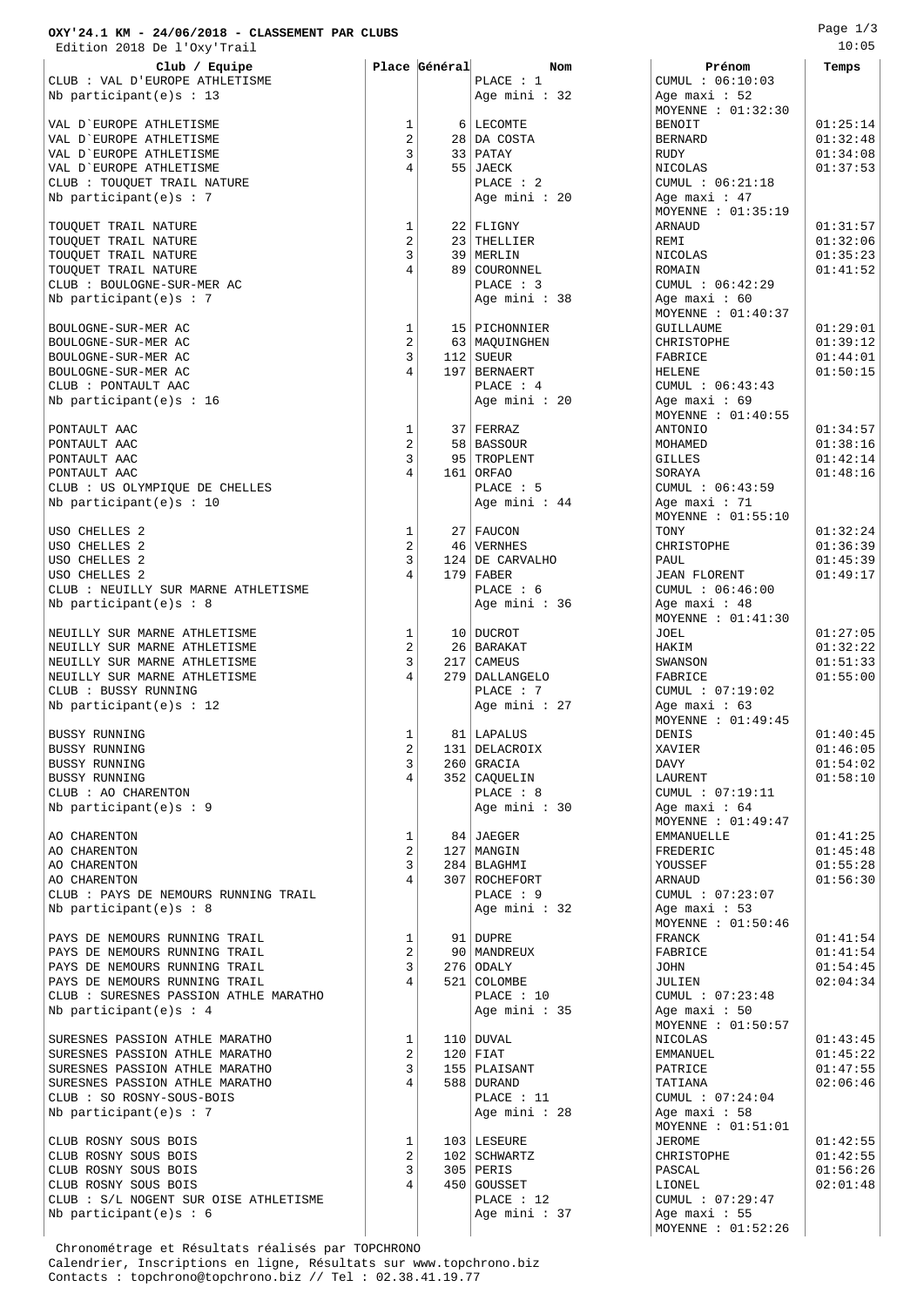## **OXY'24.1 KM - 24/06/2018 - CLASSEMENT PAR CLUBS**

 Edition 2018 De l'Oxy'Trail CLUB : VAL D'EUROPE ATHLETISME PLACE : 1 CUMUL : 06:10:03  $Nb$  participant(e)s : 13 VAL D`EUROPE ATHLETISME 1 6 LECOMTE BENOIT 01:25:14 VAL D`EUROPE ATHLETISME 2 28 DA COSTA BERNARD 01:32:48 VAL D`EUROPE ATHLETISME 3 33 PATAY RUDY 01:34:08 VAL D`EUROPE ATHLETISME  $\begin{vmatrix} 4 & 55 \ 2 \end{vmatrix}$  JAECK  $\begin{vmatrix} 1 & 0 \ 0 & 1:37:53 \end{vmatrix}$  01:37:53 CLUB : TOUQUET TRAIL NATURE  $\begin{array}{|l|l|}\n\hline\n\text{PLACE} : 2 & \text{CUMUL} : 06:21:\n\hline\n\text{No participant(e)s} : 7 & \text{No patient} : 20 & \text{Age maxi} : 47\n\end{array}$ Nb participant(e)s : 7 TOUQUET TRAIL NATURE  $\begin{array}{|c|c|c|c|c|}\n\hline\n1&2&\text{FLIGNY}&\text{ARNADD}&01:31:57\n\end{array}$ TOUQUET TRAIL NATURE  $\begin{array}{|c|c|c|c|c|}\n\hline\n2 & 23 & \text{THELLIER} & \text{REMI} & 01:32:06 \\
\hline\n3000 \text{UET TRAIL NATURE} & 3 & 39 & \text{MERLIN} & \text{NICOLAS} & 01:35:23\n\end{array}$ TOUQUET TRAIL NATURE 3 39 MERLIN NICOLAS 01:35:23 TOUQUET TRAIL NATURE 4 89 COURONNEL ROMAIN 01:41:52  $CLUB : BOLLOGNE-SUR-MER AC$ Nb participant(e)s : 7 Age mini : 38 Age maxi : 60 BOULOGNE-SUR-MER AC 1 15 PICHONNIER GUILLAUME 01:29:01<br>BOULOGNE-SUR-MER AC 1 29:12<br>CHEISTOPHE 01:39:12 BOULOGNE-SUR-MER AC  $\begin{array}{|c|c|c|c|c|c|c|c|c|}\n\hline\n\text{BoudLOGNE-SUR-MER AC} & & & 2 & 63 & \text{MAGUINGHER} \\
\hline\n\text{BoudLOGNE-SUR-MER AC} & & & 3 & 112 & \text{SUEUR} & & \text{FABRICE} & & & 01:39:12 \\
\hline\n\end{array}$ BOULOGNE-SUR-MER AC  $\begin{array}{|c|c|c|c|c|c|c|c|c|} \hline \text{BoudLOGNE-SUR-MER AC} & & & 3 & 112 & \text{SUBUR} & & & \text{FABRICE} & & & 01:44:01 \ \hline \text{BOUTLOGNE-SUR-MER AC} & & & 4 & 197 & \text{BERMERRT} & & & \text{HELENE} & & & 01:50:15 \ \hline \end{array}$ BOULOGNE-SUR-MER AC 4 197 BERNAERT HELENE 01:50:15 CLUB : PONTAULT AAC PLACE : 4 CUMUL : 06:43:43 Nb participant(e)s : 16 PONTAULT AAC 1 37 FERRAZ ANTONIO 01:34:57 PONTAULT AAC 2 58 BASSOUR MOHAMED 01:38:16 PONTAULT AAC 3 95 TROPLENT GILLES 01:42:14 PONTAULT AAC 4 161 ORFAO SORAYA 01:48:16 CLUB : US OLYMPIQUE DE CHELLES <br>Nb participant(e)s : 10 PLACE : 5 CUMUL : 06:43:59 Nb participant $(e)$ s : 10 USO CHELLES 2 1 27 FAUCON TONY 01:32:24 USO CHELLES 2 2 2 46 VERNHES 2 CHRISTOPHE 01:36:39 USO CHELLES 2 3 124 DE CARVALHO PAUL 01:45:39 USO CHELLES 2  $\begin{array}{|c|c|c|c|c|c|c|c|}\n\hline\n\text{ULUUSO} & \text{UERU} & \text{ULUUSO} & \text{UERU} & \text{ULU-BU} & \text{ULU-BU} & \text{ULU-BU} & \text{ULU-BU} & \text{ULU-BU} & \text{ULU-BU} & \text{ULU-BU} & \text{ULU-BU} & \text{ULU-BU} & \text{ULU-BU} & \text{ULU-BU} & \text{ULU-BU} & \text{ULU-BU} & \text{ULU-BU} & \text{ULU-BU} & \text{ULU-BU} &$ CLUB : NEUILLY SUR MARNE ATHLETISME Nb participant(e)s : 8  $\qquad$  |  $\qquad$  |  $\qquad$  |  $\qquad$  |  $\qquad$  |  $\qquad$  |  $\qquad$  |  $\qquad$  |  $\qquad$  |  $\qquad$   $\qquad$  |  $\qquad$   $\qquad$  |  $\qquad$   $\qquad$  |  $\qquad$   $\qquad$  |  $\qquad$   $\qquad$  |  $\qquad$   $\qquad$  |  $\qquad$  |  $\qquad$  |  $\qquad$  |  $\qquad$  |  $\qquad$  |  $\$ NEUILLY SUR MARNE ATHLETISME 1 10 DUCROT JOEL 01:27:05

CLUB ROSNY SOUS BOIS  $\begin{array}{|c|c|c|c|c|c|c|c|c|} \hline \text{CLUB ROSNY SOUS BOIS} & & & & & & & & 1 & 103 & \text{LESEURE} & & & & & & & & & 01:42:55 \\ \text{CLUB ROSNY SOUS BOIS} & & & & & & & & & & 102 & \text{SCHNARTZ} & & & & & & & & & & & & 01:42:55 \\ \hline \end{array}$ CLUB ROSNY SOUS BOIS 2 102 SCHWARTZ CHRISTOPHE CLUB ROSNY SOUS BOIS  $\begin{array}{|c|c|c|c|c|c|c|c|} \hline \text{CLUB ROSNY SOUS BOLS} & \text{3D5} & \text{PERIS} & \text{PASCAL} & \text{01:56:26} \ \text{CLUB ROSY SOUS BOLS} & & & & \text{4} & \text{450} & \text{GOUSSET} & \text{LIONEL} & \text{02:01:48} \ \end{array}$ CLUB ROSNY SOUS BOIS<br>
CLUB : S/L NOGENT SUR OISE ATHLETISME  $\begin{array}{|c|c|c|c|c|c|}\n\hline\n\text{CLUB} & \text{S/L NOGENT} & \text{CURUL} & \text{CUSB.} \\
\hline\n\end{array}$ CLUB :  $S/L$  NOGENT SUR OISE ATHLETISME  $|$  PLACE : 12 Nb participant(e)s : 6 Age mini : 37 Age maxi : 55

 Chronométrage et Résultats réalisés par TOPCHRONO Calendrier, Inscriptions en ligne, Résultats sur www.topchrono.biz Contacts : topchrono@topchrono.biz // Tel : 02.38.41.19.77

| Nb participant(e)s : 13                                        |                | Age mini : 32               | Age maxi: $52$<br>MOYENNE : 01:32:30 |          |
|----------------------------------------------------------------|----------------|-----------------------------|--------------------------------------|----------|
| VAL D'EUROPE ATHLETISME                                        | 1              | 6   LECOMTE                 | <b>BENOIT</b>                        | 01:25:14 |
| VAL D'EUROPE ATHLETISME                                        | $\overline{2}$ | 28   DA COSTA               | <b>BERNARD</b>                       | 01:32:48 |
| VAL D'EUROPE ATHLETISME                                        | 3              | $33$   PATAY                | RUDY                                 | 01:34:08 |
| VAL D'EUROPE ATHLETISME                                        | $\overline{4}$ | $55$ JAECK                  | NICOLAS                              | 01:37:53 |
| CLUB : TOUQUET TRAIL NATURE                                    |                | PLACE : 2                   | CUMUL : 06:21:18                     |          |
| Nb participant(e)s : 7                                         |                | Age mini : 20               | Age maxi: 47                         |          |
|                                                                |                |                             | MOYENNE : 01:35:19                   |          |
| TOUQUET TRAIL NATURE                                           | $\mathbf{1}$   | $22$   FLIGNY               | ARNAUD                               | 01:31:57 |
| TOUQUET TRAIL NATURE                                           | 2              | 23 THELLIER                 | REMI                                 | 01:32:06 |
| TOUQUET TRAIL NATURE                                           | 3              | 39   MERLIN                 | NICOLAS                              | 01:35:23 |
| TOUQUET TRAIL NATURE                                           | $\overline{4}$ | 89   COURONNEL              | ROMAIN                               | 01:41:52 |
| CLUB : BOULOGNE-SUR-MER AC                                     |                | PLACE : 3                   | CUMUL : 06:42:29                     |          |
| Nb participant(e)s : 7                                         |                | Age mini : 38               | Age maxi: $60$                       |          |
|                                                                |                |                             | MOYENNE : 01:40:37                   |          |
| BOULOGNE-SUR-MER AC                                            | $\mathbf 1$    | 15   PICHONNIER             | GUILLAUME                            | 01:29:01 |
| BOULOGNE-SUR-MER AC                                            | $\overline{2}$ | 63   MAQUINGHEN             | CHRISTOPHE                           | 01:39:12 |
| BOULOGNE-SUR-MER AC                                            | 3              | $112$ SUEUR                 | FABRICE                              | 01:44:01 |
| BOULOGNE-SUR-MER AC                                            | $\overline{4}$ | 197   BERNAERT              | <b>HELENE</b>                        | 01:50:15 |
| CLUB : PONTAULT AAC                                            |                | PLACE: 4                    | CUMUL : 06:43:43                     |          |
|                                                                |                | Age mini : 20               | Age maxi: 69                         |          |
| Nb participant $(e)$ s: 16                                     |                |                             | MOYENNE : 01:40:55                   |          |
|                                                                | $\mathbf{1}$   |                             | <b>ANTONIO</b>                       |          |
| PONTAULT AAC                                                   |                | $37$   FERRAZ               |                                      | 01:34:57 |
| PONTAULT AAC                                                   | $\overline{c}$ | 58   BASSOUR                | MOHAMED                              | 01:38:16 |
| PONTAULT AAC                                                   | 3              | 95   TROPLENT               | <b>GILLES</b>                        | 01:42:14 |
| PONTAULT AAC                                                   | 4              | $161$ ORFAO                 | SORAYA                               | 01:48:16 |
| CLUB : US OLYMPIOUE DE CHELLES                                 |                | PLACE : 5                   | CUMUL : 06:43:59                     |          |
| Nb participant(e)s : $10$                                      |                | Age mini : 44               | Age maxi: 71                         |          |
|                                                                |                |                             | MOYENNE : 01:55:10                   |          |
| USO CHELLES 2                                                  | 1              | 27 FAUCON                   | TONY                                 | 01:32:24 |
| USO CHELLES 2                                                  | 2              | 46   VERNHES                | CHRISTOPHE                           | 01:36:39 |
| USO CHELLES 2                                                  | 3              | 124 DE CARVALHO             | PAUL                                 | 01:45:39 |
| USO CHELLES 2                                                  | $\overline{4}$ | $179$ FABER                 | <b>JEAN FLORENT</b>                  | 01:49:17 |
| CLUB : NEUILLY SUR MARNE ATHLETISME                            |                | PLACE : 6                   | CUMUL : 06:46:00                     |          |
| Nb participant(e) $s : 8$                                      |                | Age mini : 36               | Age maxi : 48                        |          |
|                                                                |                |                             | MOYENNE : 01:41:30                   |          |
| NEUILLY SUR MARNE ATHLETISME                                   | 1              | 10 DUCROT                   | JOEL                                 | 01:27:05 |
| NEUILLY SUR MARNE ATHLETISME                                   | $\overline{c}$ | 26   BARAKAT                | HAKIM                                | 01:32:22 |
| NEUILLY SUR MARNE ATHLETISME                                   | 3              | 217 CAMEUS                  | SWANSON                              | 01:51:33 |
| NEUILLY SUR MARNE ATHLETISME                                   | $\overline{4}$ | 279   DALLANGELO            | FABRICE                              | 01:55:00 |
| CLUB : BUSSY RUNNING                                           |                | PLACE : 7                   | CUMUL : 07:19:02                     |          |
| Nb participant $(e)$ s: 12                                     |                | Age mini : 27               | Age maxi: 63                         |          |
|                                                                |                |                             | MOYENNE : 01:49:45                   |          |
| <b>BUSSY RUNNING</b>                                           | 1              | 81   LAPALUS                | DENIS                                | 01:40:45 |
| <b>BUSSY RUNNING</b>                                           | 2              | 131   DELACROIX             | XAVIER                               | 01:46:05 |
| <b>BUSSY RUNNING</b>                                           | 3              | 260 GRACIA                  | <b>DAVY</b>                          | 01:54:02 |
| BUSSY RUNNING                                                  | 4              | 352 CAQUELIN                | LAURENT                              | 01:58:10 |
| CLUB : AO CHARENTON                                            |                | PLACE : 8                   | CUMUL : 07:19:11                     |          |
| Nb participant (e)s : 9                                        |                | Age mini : 30               | Age maxi : 64                        |          |
|                                                                |                |                             | MOYENNE : $01:49:47$                 |          |
| AO CHARENTON                                                   | 1              | 84 JAEGER                   | EMMANUELLE                           | 01:41:25 |
| AO CHARENTON                                                   | 2              | 127   MANGIN                | FREDERIC                             | 01:45:48 |
| AO CHARENTON                                                   | 3              | 284   BLAGHMI               | YOUSSEF                              | 01:55:28 |
| AO CHARENTON                                                   | $\overline{4}$ | 307   ROCHEFORT             | ARNAUD                               | 01:56:30 |
| CLUB : PAYS DE NEMOURS RUNNING TRAIL                           |                | PLACE : 9                   | CUMUL : 07:23:07                     |          |
| Nb participant(e)s : 8                                         |                | Age mini : 32               | Age maxi: $53$                       |          |
|                                                                |                |                             | MOYENNE : 01:50:46                   |          |
| PAYS DE NEMOURS RUNNING TRAIL                                  | 1              |                             | FRANCK                               | 01:41:54 |
|                                                                | $\overline{a}$ | 91   DUPRE<br>90   MANDREUX |                                      | 01:41:54 |
| PAYS DE NEMOURS RUNNING TRAIL<br>PAYS DE NEMOURS RUNNING TRAIL | 3              |                             | FABRICE                              |          |
|                                                                | $\overline{4}$ | $276$ ODALY                 | <b>JOHN</b>                          | 01:54:45 |
| PAYS DE NEMOURS RUNNING TRAIL                                  |                | 521   COLOMBE               | JULIEN                               | 02:04:34 |
| CLUB : SURESNES PASSION ATHLE MARATHO                          |                | PLACE : 10                  | CUMUL : 07:23:48                     |          |
| Nb participant(e)s : 4                                         |                | Age mini : 35               | Age maxi: 50                         |          |
|                                                                |                |                             | MOYENNE : 01:50:57                   |          |
| SURESNES PASSION ATHLE MARATHO                                 | 1              | 110   DUVAL                 | NICOLAS                              | 01:43:45 |
| SURESNES PASSION ATHLE MARATHO                                 | $\overline{2}$ | $120$ FIAT                  | EMMANUEL                             | 01:45:22 |
| SURESNES PASSION ATHLE MARATHO                                 | 3              | 155   PLAISANT              | PATRICE                              | 01:47:55 |
| SURESNES PASSION ATHLE MARATHO                                 | 4              | 588   DURAND                | TATIANA                              | 02:06:46 |
| CLUB : SO ROSNY-SOUS-BOIS                                      |                | PLACE: 11                   | CUMUL : 07:24:04                     |          |
| Nb participant(e) $s : 7$                                      |                | Age mini : 28               | Age maxi: $58$                       |          |
|                                                                |                |                             | MOYENNE : 01:51:01                   |          |
| CLUB ROSNY SOUS BOIS                                           | 1              | 103   LESEURE               | JEROME                               | 01:42:55 |
| CLUB ROSNY SOUS BOIS                                           | 2              | 102   SCHWARTZ              | CHRISTOPHE                           | 01:42:55 |
| CLUB ROSNY SOUS BOIS                                           | 3              | $305$ PERIS                 | PASCAL                               | 01:56:26 |
| CLUB ROSNY SOUS BOIS                                           | 4              | 450   GOUSSET               | LIONEL                               | 02:01:48 |
|                                                                |                |                             |                                      |          |

MOYENNE : 01:52:26

Page 1/3 10:05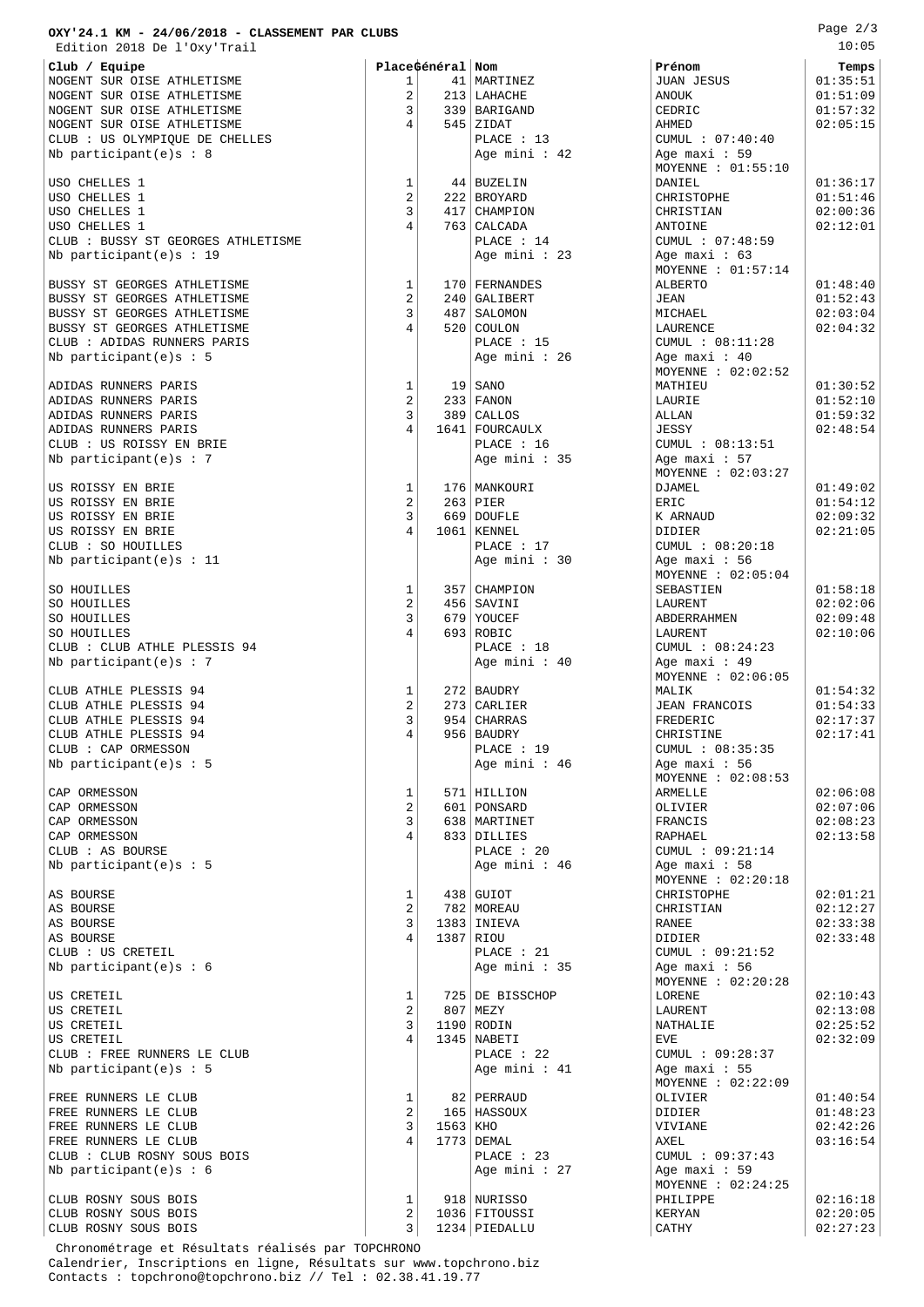| OXY'24.1 KM - 24/06/2018 - CLASSEMENT PAR CLUBS<br>Edition 2018 De l'Oxy'Trail |                     |                  |                                 |                                      | Page $2/3$<br>10:05  |
|--------------------------------------------------------------------------------|---------------------|------------------|---------------------------------|--------------------------------------|----------------------|
| Club / Equipe                                                                  |                     | PlaceGénéral Nom |                                 | Prénom                               | Temps                |
| NOGENT SUR OISE ATHLETISME                                                     | 1                   |                  | 41   MARTINEZ                   | <b>JUAN JESUS</b>                    | 01:35:51             |
| NOGENT SUR OISE ATHLETISME                                                     | 2                   |                  | 213   LAHACHE                   | ANOUK                                | 01:51:09             |
| NOGENT SUR OISE ATHLETISME                                                     | 3                   |                  | 339 BARIGAND                    | CEDRIC                               | 01:57:32             |
| NOGENT SUR OISE ATHLETISME                                                     | 4                   |                  | $545$ ZIDAT                     | AHMED                                | 02:05:15             |
| CLUB : US OLYMPIQUE DE CHELLES                                                 |                     |                  | PLACE : 13                      | CUMUL : 07:40:40                     |                      |
| Nb participant(e) $s : 8$                                                      |                     |                  | Age mini : 42                   | Age maxi: $59$                       |                      |
|                                                                                |                     |                  |                                 | MOYENNE : 01:55:10                   |                      |
| USO CHELLES 1                                                                  | 1                   |                  | 44 BUZELIN                      | DANIEL                               | 01:36:17             |
| USO CHELLES 1                                                                  | 2                   |                  | 222 BROYARD                     | CHRISTOPHE                           | 01:51:46             |
| USO CHELLES 1                                                                  | 3                   |                  | 417   CHAMPION                  | CHRISTIAN                            | 02:00:36             |
| USO CHELLES 1                                                                  |                     |                  | 763   CALCADA                   | ANTOINE                              | 02:12:01             |
| CLUB : BUSSY ST GEORGES ATHLETISME                                             |                     |                  | PLACE : 14                      | CUMUL : 07:48:59                     |                      |
| Nb participant $(e)$ s: 19                                                     |                     |                  | Age mini $: 23$                 | Age maxi: $63$                       |                      |
| BUSSY ST GEORGES ATHLETISME                                                    | 1                   |                  |                                 | MOYENNE : 01:57:14<br>ALBERTO        | 01:48:40             |
| BUSSY ST GEORGES ATHLETISME                                                    | $\overline{2}$      |                  | 170   FERNANDES<br>240 GALIBERT | JEAN                                 | 01:52:43             |
| BUSSY ST GEORGES ATHLETISME                                                    | 3                   |                  | 487   SALOMON                   | MICHAEL                              | 02:03:04             |
| BUSSY ST GEORGES ATHLETISME                                                    | 4                   |                  | 520 COULON                      | LAURENCE                             | 02:04:32             |
| CLUB : ADIDAS RUNNERS PARIS                                                    |                     |                  | PLACE: 15                       | CUMUL : 08:11:28                     |                      |
| Nb participant(e)s : 5                                                         |                     |                  | Age mini : 26                   | Age maxi: $40$                       |                      |
|                                                                                |                     |                  |                                 | MOYENNE : 02:02:52                   |                      |
| ADIDAS RUNNERS PARIS                                                           | 1                   |                  | $19  $ SANO                     | MATHIEU                              | 01:30:52             |
| ADIDAS RUNNERS PARIS                                                           | $\overline{c}$      |                  | $233$ FANON                     | LAURIE                               | 01:52:10             |
| ADIDAS RUNNERS PARIS                                                           | 3                   |                  | 389 CALLOS                      | ALLAN                                | 01:59:32             |
| ADIDAS RUNNERS PARIS                                                           |                     |                  | 1641   FOURCAULX                | JESSY                                | 02:48:54             |
| CLUB : US ROISSY EN BRIE                                                       |                     |                  | PLACE: 16                       | CUMUL : 08:13:51                     |                      |
| Nb participant(e)s : 7                                                         |                     |                  | Age mini : 35                   | Age maxi: $57$                       |                      |
| US ROISSY EN BRIE                                                              | 1                   |                  | 176   MANKOURI                  | MOYENNE : $02:03:27$<br>DJAMEL       | 01:49:02             |
| US ROISSY EN BRIE                                                              | $\overline{a}$      |                  | $263$ PIER                      | ERIC                                 | 01:54:12             |
| US ROISSY EN BRIE                                                              | 3                   |                  | 669 DOUFLE                      | K ARNAUD                             | 02:09:32             |
| US ROISSY EN BRIE                                                              |                     |                  | 1061   KENNEL                   | DIDIER                               | 02:21:05             |
| CLUB : SO HOUILLES                                                             |                     |                  | PLACE: 17                       | CUMUL : 08:20:18                     |                      |
| Nb participant $(e)$ s: 11                                                     |                     |                  | Age mini : 30                   | Age maxi : 56                        |                      |
|                                                                                |                     |                  |                                 | MOYENNE : 02:05:04                   |                      |
| SO HOUILLES                                                                    | 1                   |                  | 357   CHAMPION                  | SEBASTIEN                            | 01:58:18             |
| SO HOUILLES                                                                    | 2                   |                  | 456   SAVINI                    | LAURENT                              | 02:02:06             |
| SO HOUILLES                                                                    | 3                   |                  | 679 YOUCEF                      | ABDERRAHMEN                          | 02:09:48             |
| SO HOUILLES                                                                    |                     |                  | 693 ROBIC                       | LAURENT                              | 02:10:06             |
| CLUB : CLUB ATHLE PLESSIS 94<br>Nb participant(e)s : 7                         |                     |                  | PLACE : 18<br>Age mini: 40      | CUMUL : 08:24:23<br>Age maxi: 49     |                      |
|                                                                                |                     |                  |                                 | MOYENNE : 02:06:05                   |                      |
| CLUB ATHLE PLESSIS 94                                                          | 1                   |                  | $272$ BAUDRY                    | MALIK                                | 01:54:32             |
| CLUB ATHLE PLESSIS 94                                                          | 2                   |                  | 273 CARLIER                     | <b>JEAN FRANCOIS</b>                 | 01:54:33             |
| CLUB ATHLE PLESSIS 94                                                          | 3                   |                  | 954 CHARRAS                     | FREDERIC                             | 02:17:37             |
| CLUB ATHLE PLESSIS 94                                                          | 4                   |                  | 956   BAUDRY                    | CHRISTINE                            | 02:17:41             |
| CLUB : CAP ORMESSON                                                            |                     |                  | PLACE : 19                      | CUMUL : 08:35:35                     |                      |
| Nb participant(e)s : 5                                                         |                     |                  | Age mini : 46                   | Age maxi: 56                         |                      |
|                                                                                |                     |                  |                                 | MOYENNE : 02:08:53                   |                      |
| CAP ORMESSON                                                                   | 1                   |                  | 571   HILLION                   | ARMELLE                              | 02:06:08             |
| CAP ORMESSON                                                                   | 2                   |                  | 601   PONSARD                   | OLIVIER                              | 02:07:06             |
| CAP ORMESSON                                                                   | 3                   |                  | 638   MARTINET                  | FRANCIS                              | 02:08:23             |
| CAP ORMESSON<br>CLUB : AS BOURSE                                               |                     |                  | 833   DILLIES<br>PLACE : 20     | RAPHAEL                              | 02:13:58             |
| Nb participant(e)s : 5                                                         |                     |                  | Age mini : 46                   | CUMUL : 09:21:14<br>Age maxi: $58$   |                      |
|                                                                                |                     |                  |                                 | MOYENNE : 02:20:18                   |                      |
| AS BOURSE                                                                      | 1                   |                  | $438$ GUIOT                     | CHRISTOPHE                           | 02:01:21             |
| AS BOURSE                                                                      | 2                   |                  | 782   MOREAU                    | CHRISTIAN                            | 02:12:27             |
| AS BOURSE                                                                      | 3                   |                  | 1383   INIEVA                   | RANEE                                | 02:33:38             |
| AS BOURSE                                                                      |                     |                  | 1387   RIOU                     | DIDIER                               | 02:33:48             |
| CLUB : US CRETEIL                                                              |                     |                  | PLACE : 21                      | CUMUL : 09:21:52                     |                      |
| Nb participant(e) $s : 6$                                                      |                     |                  | Age mini : 35                   | Age maxi: 56                         |                      |
|                                                                                |                     |                  |                                 | MOYENNE : 02:20:28                   |                      |
| US CRETEIL                                                                     | 1<br>$\overline{c}$ |                  | 725 DE BISSCHOP                 | LORENE                               | 02:10:43<br>02:13:08 |
| US CRETEIL<br>US CRETEIL                                                       | 3                   |                  | 807   MEZY<br>$1190  $ RODIN    | LAURENT<br>NATHALIE                  | 02:25:52             |
| US CRETEIL                                                                     |                     |                  | $1345$   NABETI                 | EVE                                  | 02:32:09             |
| CLUB : FREE RUNNERS LE CLUB                                                    |                     |                  | PLACE: 22                       | CUMUL : 09:28:37                     |                      |
| Nb participant(e)s : 5                                                         |                     |                  | Age mini : 41                   | Age maxi: 55                         |                      |
|                                                                                |                     |                  |                                 | MOYENNE : $02:22:09$                 |                      |
| FREE RUNNERS LE CLUB                                                           | 1                   |                  | 82   PERRAUD                    | OLIVIER                              | 01:40:54             |
| FREE RUNNERS LE CLUB                                                           | 2                   |                  | 165   HASSOUX                   | DIDIER                               | 01:48:23             |
| FREE RUNNERS LE CLUB                                                           | 3                   | 1563   KHO       |                                 | VIVIANE                              | 02:42:26             |
| FREE RUNNERS LE CLUB                                                           |                     |                  | $1773$ DEMAL                    | AXEL                                 | 03:16:54             |
| CLUB : CLUB ROSNY SOUS BOIS                                                    |                     |                  | PLACE : 23                      | CUMUL : 09:37:43                     |                      |
| Nb participant(e) $s : 6$                                                      |                     |                  | Age mini : 27                   | Age maxi: 59<br>MOYENNE : $02:24:25$ |                      |
| CLUB ROSNY SOUS BOIS                                                           | 1                   |                  | 918   NURISSO                   | PHILIPPE                             | 02:16:18             |
| CLUB ROSNY SOUS BOIS                                                           | 2                   |                  | 1036   FITOUSSI                 | KERYAN                               | 02:20:05             |
| CLUB ROSNY SOUS BOIS                                                           | 3                   |                  | 1234   PIEDALLU                 | CATHY                                | 02:27:23             |
|                                                                                |                     |                  |                                 |                                      |                      |

 Chronométrage et Résultats réalisés par TOPCHRONO Calendrier, Inscriptions en ligne, Résultats sur www.topchrono.biz Contacts : topchrono@topchrono.biz // Tel : 02.38.41.19.77

Page 2/3

|                                    |                      |  | 10:05 |  |          |  |
|------------------------------------|----------------------|--|-------|--|----------|--|
| Prénom                             |                      |  |       |  | Temps    |  |
| JUAN JESUS                         | 01:35:51             |  |       |  |          |  |
| ANOUK<br>CEDRIC                    | 01:57:32             |  |       |  | 01:51:09 |  |
| AHMED                              | 02:05:15             |  |       |  |          |  |
| CUMUL : 07:40:40                   |                      |  |       |  |          |  |
| Age maxi: 59<br>MOYENNE : 01:55:10 |                      |  |       |  |          |  |
| DANIEL                             | 01:36:17             |  |       |  |          |  |
| CHRISTOPHE                         | 01:51:46             |  |       |  |          |  |
| CHRISTIAN                          | 02:00:36             |  |       |  |          |  |
| ANTOINE                            | 02:12:01             |  |       |  |          |  |
| CUMUL : 07:48:59<br>Age maxi: 63   |                      |  |       |  |          |  |
| MOYENNE : 01:57:14                 |                      |  |       |  |          |  |
| ALBERTO                            | 01:48:40             |  |       |  |          |  |
| JEAN                               | 01:52:43             |  |       |  |          |  |
| MICHAEL<br>LAURENCE                | 02:03:04<br>02:04:32 |  |       |  |          |  |
| CUMUL : 08:11:28                   |                      |  |       |  |          |  |
| Age maxi: 40                       |                      |  |       |  |          |  |
| MOYENNE : 02:02:52                 |                      |  |       |  |          |  |
| MATHIEU                            | 01:30:52             |  |       |  |          |  |
| LAURIE<br>ALLAN                    | 01:52:10<br>01:59:32 |  |       |  |          |  |
| JESSY                              | 02:48:54             |  |       |  |          |  |
| CUMUL : 08:13:51                   |                      |  |       |  |          |  |
| Age maxi: 57                       |                      |  |       |  |          |  |
| MOYENNE : 02:03:27<br>DJAMEL       | 01:49:02             |  |       |  |          |  |
| ERIC                               | 01:54:12             |  |       |  |          |  |
| K ARNAUD                           | 02:09:32             |  |       |  |          |  |
| DIDIER                             | 02:21:05             |  |       |  |          |  |
| CUMUL : 08:20:18                   |                      |  |       |  |          |  |
| Age maxi: 56<br>MOYENNE : 02:05:04 |                      |  |       |  |          |  |
| SEBASTIEN                          | 01:58:18             |  |       |  |          |  |
| LAURENT                            | 02:02:06             |  |       |  |          |  |
| ABDERRAHMEN                        | 02:09:48             |  |       |  |          |  |
| LAURENT                            | 02:10:06             |  |       |  |          |  |
| CUMUL : 08:24:23<br>Age maxi: 49   |                      |  |       |  |          |  |
| MOYENNE : 02:06:05                 |                      |  |       |  |          |  |
| MALIK                              | 01:54:32             |  |       |  |          |  |
| <b>JEAN FRANCOIS</b><br>FREDERIC   | 01:54:33             |  |       |  |          |  |
| CHRISTINE                          | 02:17:37<br>02:17:41 |  |       |  |          |  |
| CUMUL : 08:35:35                   |                      |  |       |  |          |  |
| Age maxi: 56                       |                      |  |       |  |          |  |
| MOYENNE : 02:08:53                 |                      |  |       |  |          |  |
| ARMELLE<br>OLIVIER                 | 02:06:08<br>02:07:06 |  |       |  |          |  |
| FRANCIS                            | 02:08:23             |  |       |  |          |  |
| <b>RAPHAEL</b>                     | 02:13:58             |  |       |  |          |  |
| CUMUL : 09:21:14                   |                      |  |       |  |          |  |
| Age maxi: 58<br>MOYENNE : 02:20:18 |                      |  |       |  |          |  |
| CHRISTOPHE                         | 02:01:21             |  |       |  |          |  |
| CHRISTIAN                          | 02:12:27             |  |       |  |          |  |
| RANEE                              | 02:33:38             |  |       |  |          |  |
| DIDIER                             | 02:33:48             |  |       |  |          |  |
| CUMUL : 09:21:52<br>Age maxi: 56   |                      |  |       |  |          |  |
| MOYENNE : 02:20:28                 |                      |  |       |  |          |  |
| LORENE                             | 02:10:43             |  |       |  |          |  |
| LAURENT                            | 02:13:08             |  |       |  |          |  |
| NATHALIE                           | 02:25:52             |  |       |  |          |  |
| EVE<br>CUMUL : 09:28:37            | 02:32:09             |  |       |  |          |  |
| Age maxi: 55                       |                      |  |       |  |          |  |
| MOYENNE : 02:22:09                 |                      |  |       |  |          |  |
| OLIVIER                            | 01:40:54             |  |       |  |          |  |
| DIDIER<br>VIVIANE                  | 01:48:23<br>02:42:26 |  |       |  |          |  |
| AXEL                               | 03:16:54             |  |       |  |          |  |
| CUMUL : 09:37:43                   |                      |  |       |  |          |  |
| Age maxi: 59                       |                      |  |       |  |          |  |
| MOYENNE : 02:24:25<br>PHILIPPE     | 02:16:18             |  |       |  |          |  |
| KERYAN                             | 02:20:05             |  |       |  |          |  |
| CATHY                              | 02:27:23             |  |       |  |          |  |
|                                    |                      |  |       |  |          |  |